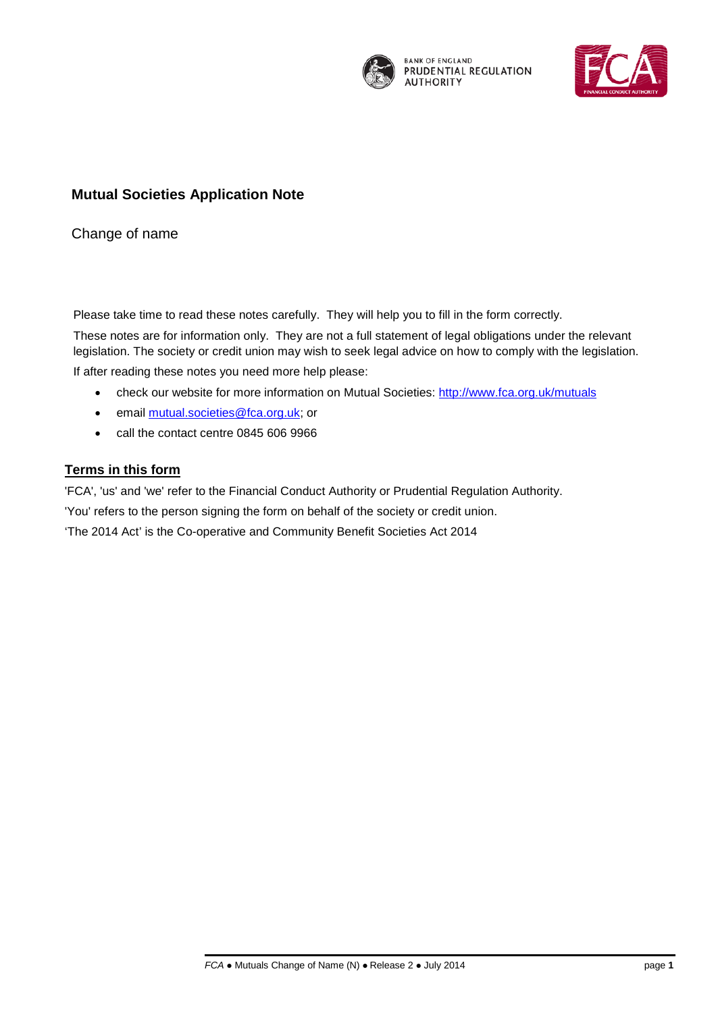

**BANK OF ENGLAND** PRUDENTIAL REGULATION **AUTHORITY** 



# **Mutual Societies Application Note**

Change of name

Please take time to read these notes carefully. They will help you to fill in the form correctly.

These notes are for information only. They are not a full statement of legal obligations under the relevant legislation. The society or credit union may wish to seek legal advice on how to comply with the legislation. If after reading these notes you need more help please:

- check our website for more information on Mutual Societies: [http://www.fca.org.uk/mutuals](http://www.fca.org.uk/firms/firm-types/mutual-societies)
- email [mutual.societies@fca.org.uk;](mailto:mutual.societies@fca.org.uk) or
- call the contact centre 0845 606 9966

# **Terms in this form**

'FCA', 'us' and 'we' refer to the Financial Conduct Authority or Prudential Regulation Authority.

'You' refers to the person signing the form on behalf of the society or credit union.

'The 2014 Act' is the Co-operative and Community Benefit Societies Act 2014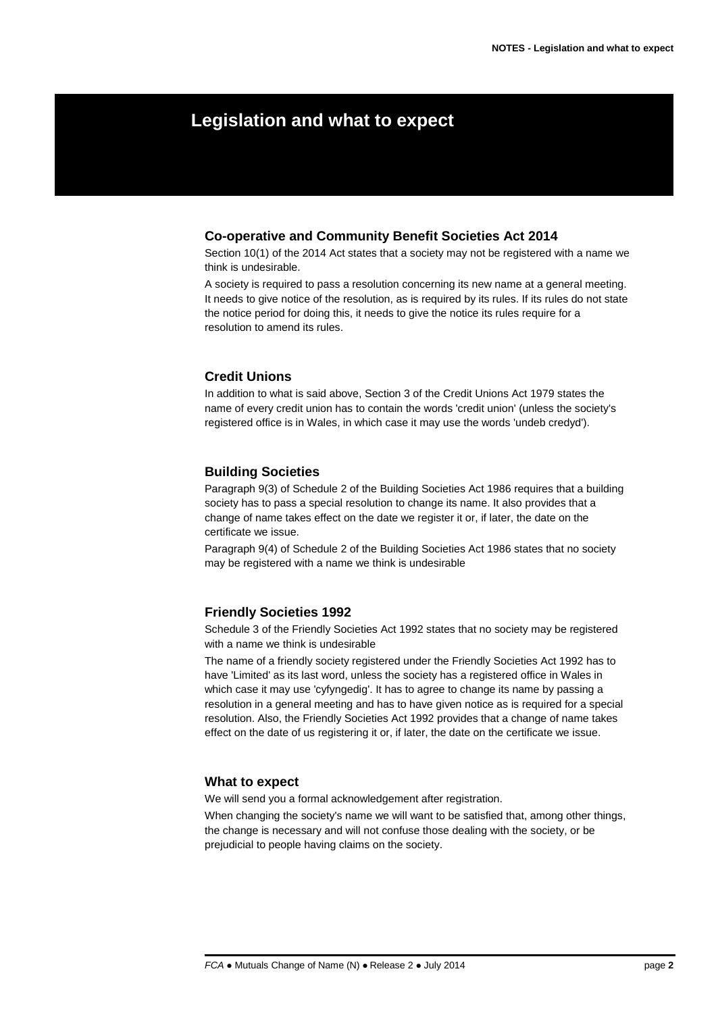# **Legislation and what to expect**

### **Co-operative and Community Benefit Societies Act 2014**

Section 10(1) of the 2014 Act states that a society may not be registered with a name we think is undesirable.

A society is required to pass a resolution concerning its new name at a general meeting. It needs to give notice of the resolution, as is required by its rules. If its rules do not state the notice period for doing this, it needs to give the notice its rules require for a resolution to amend its rules.

### **Credit Unions**

In addition to what is said above, Section 3 of the Credit Unions Act 1979 states the name of every credit union has to contain the words 'credit union' (unless the society's registered office is in Wales, in which case it may use the words 'undeb credyd').

#### **Building Societies**

Paragraph 9(3) of Schedule 2 of the Building Societies Act 1986 requires that a building society has to pass a special resolution to change its name. It also provides that a change of name takes effect on the date we register it or, if later, the date on the certificate we issue.

Paragraph 9(4) of Schedule 2 of the Building Societies Act 1986 states that no society may be registered with a name we think is undesirable

#### **Friendly Societies 1992**

Schedule 3 of the Friendly Societies Act 1992 states that no society may be registered with a name we think is undesirable

The name of a friendly society registered under the Friendly Societies Act 1992 has to have 'Limited' as its last word, unless the society has a registered office in Wales in which case it may use 'cyfyngedig'. It has to agree to change its name by passing a resolution in a general meeting and has to have given notice as is required for a special resolution. Also, the Friendly Societies Act 1992 provides that a change of name takes effect on the date of us registering it or, if later, the date on the certificate we issue.

### **What to expect**

We will send you a formal acknowledgement after registration.

When changing the society's name we will want to be satisfied that, among other things, the change is necessary and will not confuse those dealing with the society, or be prejudicial to people having claims on the society.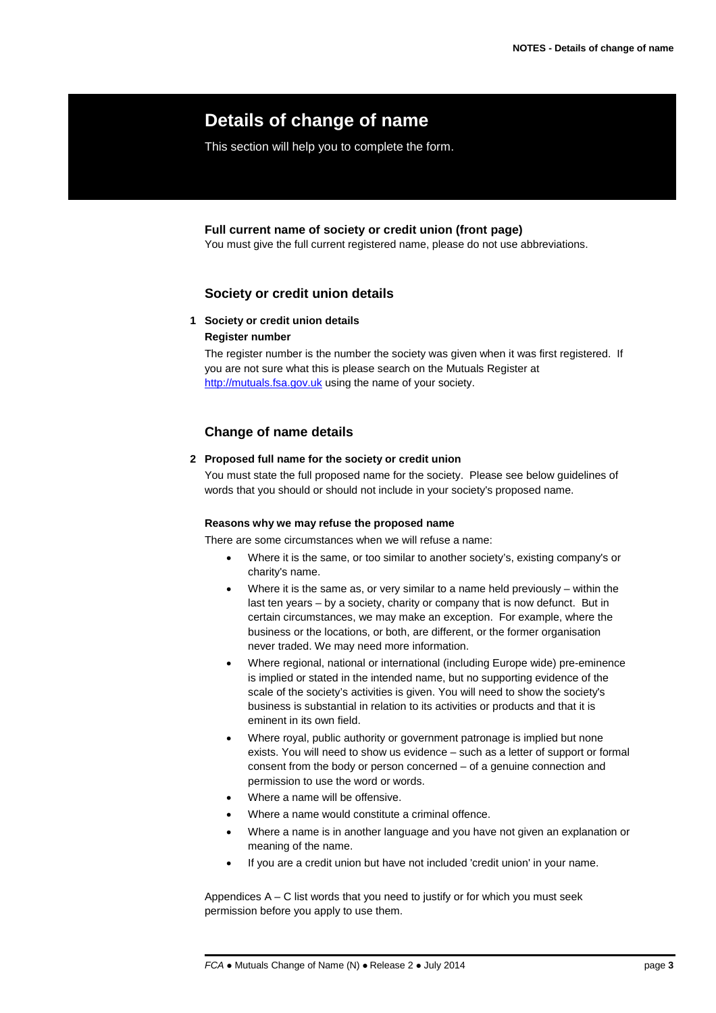# **Details of change of name**

This section will help you to complete the form.

## **Full current name of society or credit union (front page)**

You must give the full current registered name, please do not use abbreviations.

# **Society or credit union details**

## **1 Society or credit union details**

## **Register number**

The register number is the number the society was given when it was first registered. If you are not sure what this is please search on the Mutuals Register at [http://mutuals.fsa.gov.uk](http://mutuals.fsa.gov.uk/) using the name of your society.

# **Change of name details**

## **2 Proposed full name for the society or credit union**

You must state the full proposed name for the society. Please see below guidelines of words that you should or should not include in your society's proposed name.

#### **Reasons why we may refuse the proposed name**

There are some circumstances when we will refuse a name:

- Where it is the same, or too similar to another society's, existing company's or charity's name.
- Where it is the same as, or very similar to a name held previously within the last ten years – by a society, charity or company that is now defunct. But in certain circumstances, we may make an exception. For example, where the business or the locations, or both, are different, or the former organisation never traded. We may need more information.
- Where regional, national or international (including Europe wide) pre-eminence is implied or stated in the intended name, but no supporting evidence of the scale of the society's activities is given. You will need to show the society's business is substantial in relation to its activities or products and that it is eminent in its own field.
- Where royal, public authority or government patronage is implied but none exists. You will need to show us evidence – such as a letter of support or formal consent from the body or person concerned – of a genuine connection and permission to use the word or words.
- Where a name will be offensive.
- Where a name would constitute a criminal offence.
- Where a name is in another language and you have not given an explanation or meaning of the name.
- If you are a credit union but have not included 'credit union' in your name.

Appendices  $A - C$  list words that you need to justify or for which you must seek permission before you apply to use them.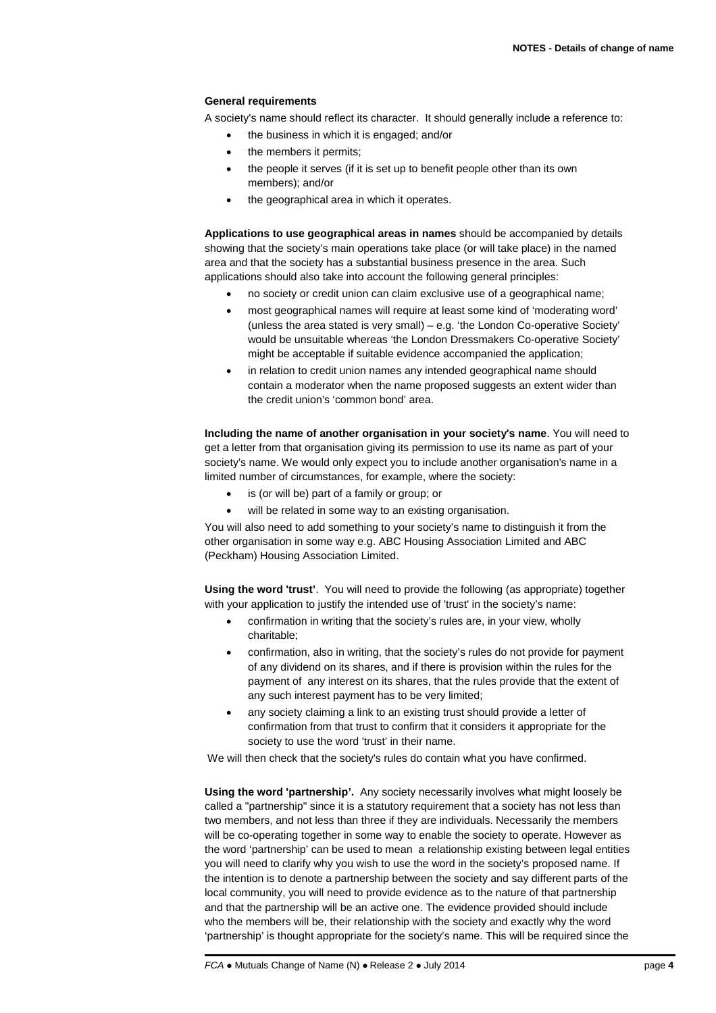#### **General requirements**

A society's name should reflect its character. It should generally include a reference to:

- the business in which it is engaged; and/or
- the members it permits;
- the people it serves (if it is set up to benefit people other than its own members); and/or
- the geographical area in which it operates.

**Applications to use geographical areas in names** should be accompanied by details showing that the society's main operations take place (or will take place) in the named area and that the society has a substantial business presence in the area. Such applications should also take into account the following general principles:

- no society or credit union can claim exclusive use of a geographical name;
- most geographical names will require at least some kind of 'moderating word' (unless the area stated is very small) – e.g. 'the London Co-operative Society' would be unsuitable whereas 'the London Dressmakers Co-operative Society' might be acceptable if suitable evidence accompanied the application;
- in relation to credit union names any intended geographical name should contain a moderator when the name proposed suggests an extent wider than the credit union's 'common bond' area.

**Including the name of another organisation in your society's name**. You will need to get a letter from that organisation giving its permission to use its name as part of your society's name. We would only expect you to include another organisation's name in a limited number of circumstances, for example, where the society:

- is (or will be) part of a family or group; or
- will be related in some way to an existing organisation.

You will also need to add something to your society's name to distinguish it from the other organisation in some way e.g. ABC Housing Association Limited and ABC (Peckham) Housing Association Limited.

**Using the word 'trust'**. You will need to provide the following (as appropriate) together with your application to justify the intended use of 'trust' in the society's name:

- confirmation in writing that the society's rules are, in your view, wholly charitable;
- confirmation, also in writing, that the society's rules do not provide for payment of any dividend on its shares, and if there is provision within the rules for the payment of any interest on its shares, that the rules provide that the extent of any such interest payment has to be very limited;
- any society claiming a link to an existing trust should provide a letter of confirmation from that trust to confirm that it considers it appropriate for the society to use the word 'trust' in their name.

We will then check that the society's rules do contain what you have confirmed.

**Using the word 'partnership'.** Any society necessarily involves what might loosely be called a "partnership" since it is a statutory requirement that a society has not less than two members, and not less than three if they are individuals. Necessarily the members will be co-operating together in some way to enable the society to operate. However as the word 'partnership' can be used to mean a relationship existing between legal entities you will need to clarify why you wish to use the word in the society's proposed name. If the intention is to denote a partnership between the society and say different parts of the local community, you will need to provide evidence as to the nature of that partnership and that the partnership will be an active one. The evidence provided should include who the members will be, their relationship with the society and exactly why the word 'partnership' is thought appropriate for the society's name. This will be required since the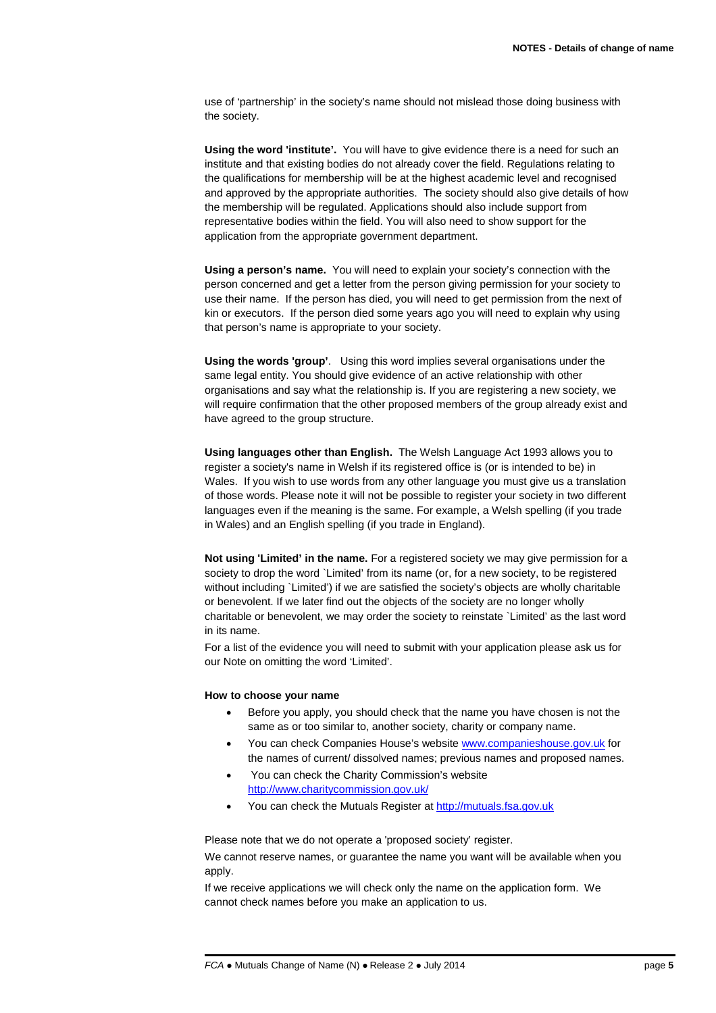use of 'partnership' in the society's name should not mislead those doing business with the society.

**Using the word 'institute'.** You will have to give evidence there is a need for such an institute and that existing bodies do not already cover the field. Regulations relating to the qualifications for membership will be at the highest academic level and recognised and approved by the appropriate authorities. The society should also give details of how the membership will be regulated. Applications should also include support from representative bodies within the field. You will also need to show support for the application from the appropriate government department.

**Using a person's name.** You will need to explain your society's connection with the person concerned and get a letter from the person giving permission for your society to use their name. If the person has died, you will need to get permission from the next of kin or executors. If the person died some years ago you will need to explain why using that person's name is appropriate to your society.

**Using the words 'group'**. Using this word implies several organisations under the same legal entity. You should give evidence of an active relationship with other organisations and say what the relationship is. If you are registering a new society, we will require confirmation that the other proposed members of the group already exist and have agreed to the group structure.

**Using languages other than English.** The Welsh Language Act 1993 allows you to register a society's name in Welsh if its registered office is (or is intended to be) in Wales. If you wish to use words from any other language you must give us a translation of those words. Please note it will not be possible to register your society in two different languages even if the meaning is the same. For example, a Welsh spelling (if you trade in Wales) and an English spelling (if you trade in England).

**Not using 'Limited' in the name.** For a registered society we may give permission for a society to drop the word `Limited' from its name (or, for a new society, to be registered without including `Limited') if we are satisfied the society's objects are wholly charitable or benevolent. If we later find out the objects of the society are no longer wholly charitable or benevolent, we may order the society to reinstate `Limited' as the last word in its name.

For a list of the evidence you will need to submit with your application please ask us for our Note on omitting the word 'Limited'.

#### **How to choose your name**

- Before you apply, you should check that the name you have chosen is not the same as or too similar to, another society, charity or company name.
- You can check Companies House's websit[e www.companieshouse.gov.uk](http://www.companieshouse.gov.uk/) for the names of current/ dissolved names; previous names and proposed names.
- You can check the Charity Commission's website <http://www.charitycommission.gov.uk/>
- You can check the Mutuals Register a[t http://mutuals.fsa.gov.uk](http://mutuals.fsa.gov.uk/)

Please note that we do not operate a 'proposed society' register.

We cannot reserve names, or guarantee the name you want will be available when you apply.

If we receive applications we will check only the name on the application form. We cannot check names before you make an application to us.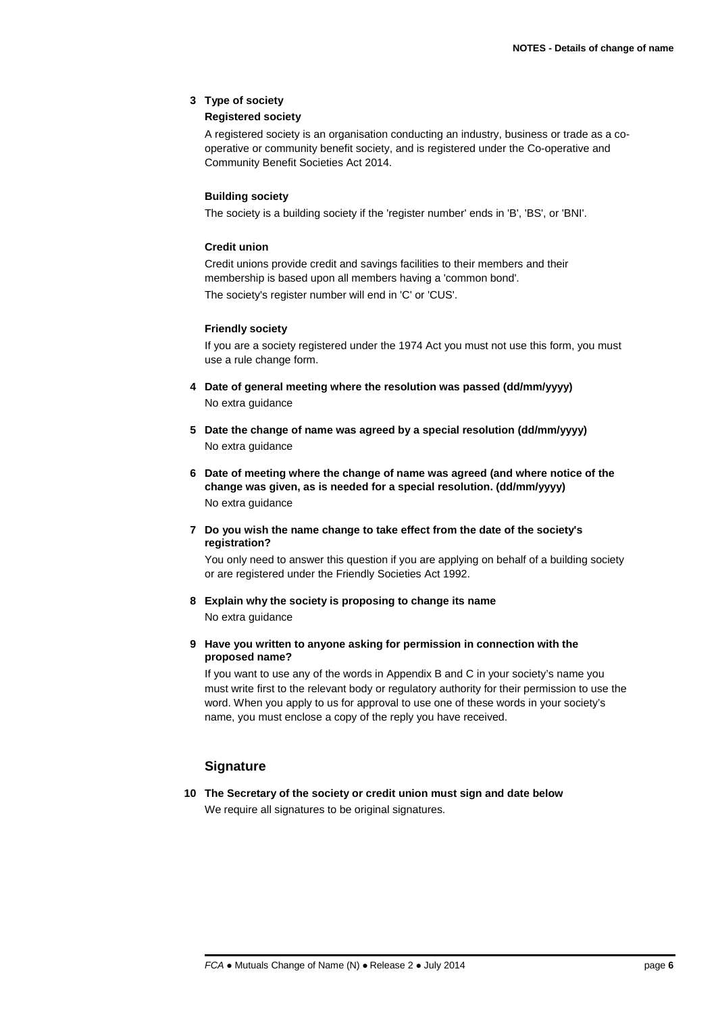#### **3 Type of society**

#### **Registered society**

A registered society is an organisation conducting an industry, business or trade as a cooperative or community benefit society, and is registered under the Co-operative and Community Benefit Societies Act 2014.

#### **Building society**

The society is a building society if the 'register number' ends in 'B', 'BS', or 'BNI'.

#### **Credit union**

Credit unions provide credit and savings facilities to their members and their membership is based upon all members having a 'common bond'. The society's register number will end in 'C' or 'CUS'.

#### **Friendly society**

If you are a society registered under the 1974 Act you must not use this form, you must use a rule change form.

- **4 Date of general meeting where the resolution was passed (dd/mm/yyyy)** No extra guidance
- **5 Date the change of name was agreed by a special resolution (dd/mm/yyyy)** No extra guidance
- **6 Date of meeting where the change of name was agreed (and where notice of the change was given, as is needed for a special resolution. (dd/mm/yyyy)** No extra guidance
- **7 Do you wish the name change to take effect from the date of the society's registration?**

You only need to answer this question if you are applying on behalf of a building society or are registered under the Friendly Societies Act 1992.

- **8 Explain why the society is proposing to change its name** No extra guidance
- **9 Have you written to anyone asking for permission in connection with the proposed name?**

If you want to use any of the words in Appendix B and C in your society's name you must write first to the relevant body or regulatory authority for their permission to use the word. When you apply to us for approval to use one of these words in your society's name, you must enclose a copy of the reply you have received.

## **Signature**

**10 The Secretary of the society or credit union must sign and date below** We require all signatures to be original signatures.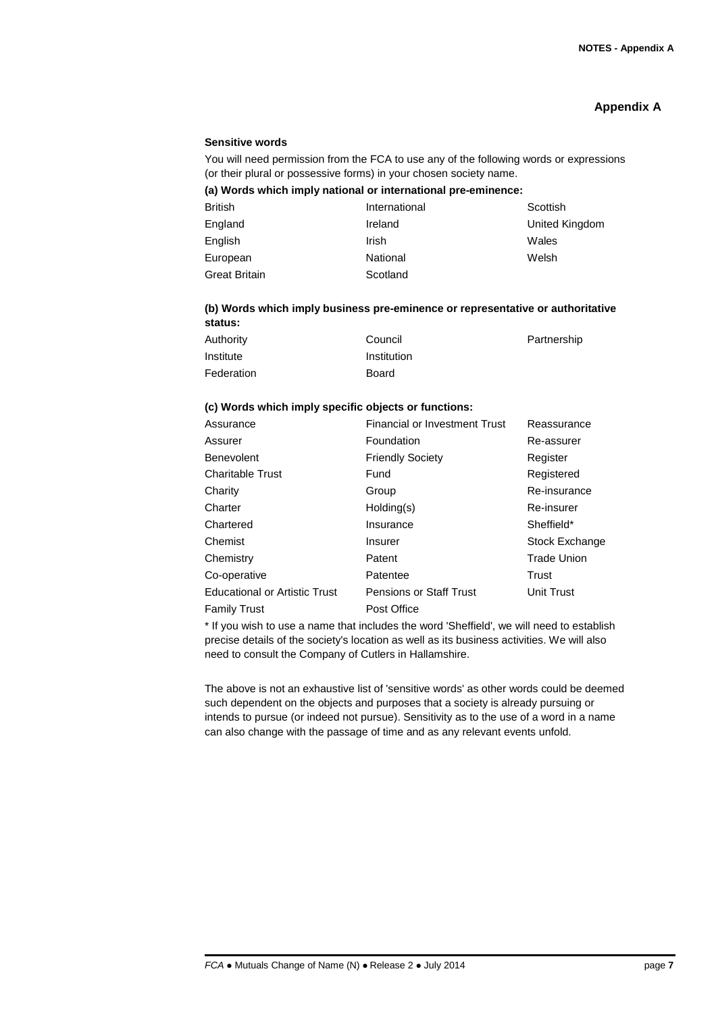## **Appendix A**

#### **Sensitive words**

You will need permission from the FCA to use any of the following words or expressions (or their plural or possessive forms) in your chosen society name.

#### **(a) Words which imply national or international pre-eminence:**

| <b>British</b>       | International | Scottish       |
|----------------------|---------------|----------------|
| England              | Ireland       | United Kingdom |
| English              | Irish         | Wales          |
| European             | National      | Welsh          |
| <b>Great Britain</b> | Scotland      |                |

#### **(b) Words which imply business pre-eminence or representative or authoritative status:**

| Authority  | Council      | Partnership |
|------------|--------------|-------------|
| Institute  | Institution  |             |
| Federation | <b>Board</b> |             |

#### **(c) Words which imply specific objects or functions:**

| Assurance                            | Financial or Investment Trust  | Reassurance        |
|--------------------------------------|--------------------------------|--------------------|
| Assurer                              | Foundation                     | Re-assurer         |
| Benevolent                           | <b>Friendly Society</b>        | Register           |
| Charitable Trust                     | Fund                           | Registered         |
| Charity                              | Group                          | Re-insurance       |
| Charter                              | Holding(s)                     | Re-insurer         |
| Chartered                            | Insurance                      | Sheffield*         |
| Chemist                              | <b>Insurer</b>                 | Stock Exchange     |
| Chemistry                            | Patent                         | <b>Trade Union</b> |
| Co-operative                         | Patentee                       | Trust              |
| <b>Educational or Artistic Trust</b> | <b>Pensions or Staff Trust</b> | <b>Unit Trust</b>  |
| <b>Family Trust</b>                  | Post Office                    |                    |

\* If you wish to use a name that includes the word 'Sheffield', we will need to establish precise details of the society's location as well as its business activities. We will also need to consult the Company of Cutlers in Hallamshire.

The above is not an exhaustive list of 'sensitive words' as other words could be deemed such dependent on the objects and purposes that a society is already pursuing or intends to pursue (or indeed not pursue). Sensitivity as to the use of a word in a name can also change with the passage of time and as any relevant events unfold.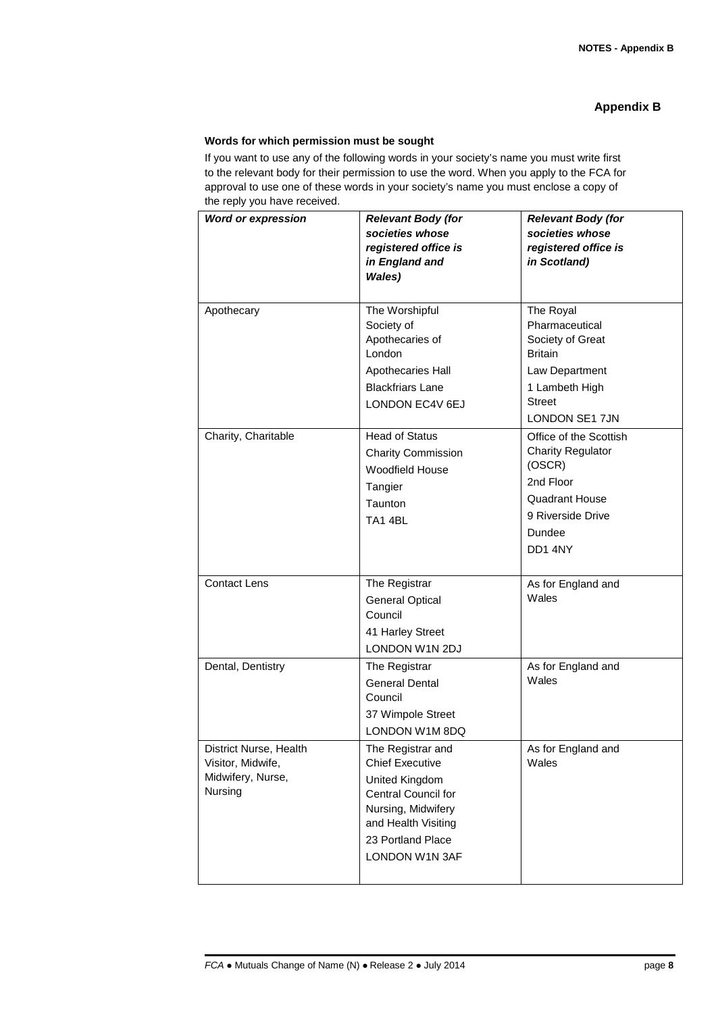## **Appendix B**

#### **Words for which permission must be sought**

If you want to use any of the following words in your society's name you must write first to the relevant body for their permission to use the word. When you apply to the FCA for approval to use one of these words in your society's name you must enclose a copy of the reply you have received.

| .<br><b>Word or expression</b>                                              | <b>Relevant Body (for</b><br>societies whose<br>registered office is<br>in England and<br>Wales)                                                                                | <b>Relevant Body (for</b><br>societies whose<br>registered office is<br>in Scotland)                                                            |
|-----------------------------------------------------------------------------|---------------------------------------------------------------------------------------------------------------------------------------------------------------------------------|-------------------------------------------------------------------------------------------------------------------------------------------------|
| Apothecary                                                                  | The Worshipful<br>Society of<br>Apothecaries of<br>London<br>Apothecaries Hall<br><b>Blackfriars Lane</b><br>LONDON EC4V 6EJ                                                    | The Royal<br>Pharmaceutical<br>Society of Great<br><b>Britain</b><br>Law Department<br>1 Lambeth High<br><b>Street</b><br><b>LONDON SE1 7JN</b> |
| Charity, Charitable                                                         | <b>Head of Status</b><br><b>Charity Commission</b><br>Woodfield House<br>Tangier<br>Taunton<br>TA14BL                                                                           | Office of the Scottish<br><b>Charity Regulator</b><br>(OSCR)<br>2nd Floor<br><b>Quadrant House</b><br>9 Riverside Drive<br>Dundee<br>DD14NY     |
| <b>Contact Lens</b>                                                         | The Registrar<br><b>General Optical</b><br>Council<br>41 Harley Street<br>LONDON W1N 2DJ                                                                                        | As for England and<br>Wales                                                                                                                     |
| Dental, Dentistry                                                           | The Registrar<br><b>General Dental</b><br>Council<br>37 Wimpole Street<br>LONDON W1M 8DQ                                                                                        | As for England and<br>Wales                                                                                                                     |
| District Nurse, Health<br>Visitor, Midwife,<br>Midwifery, Nurse,<br>Nursing | The Registrar and<br><b>Chief Executive</b><br>United Kingdom<br><b>Central Council for</b><br>Nursing, Midwifery<br>and Health Visiting<br>23 Portland Place<br>LONDON W1N 3AF | As for England and<br>Wales                                                                                                                     |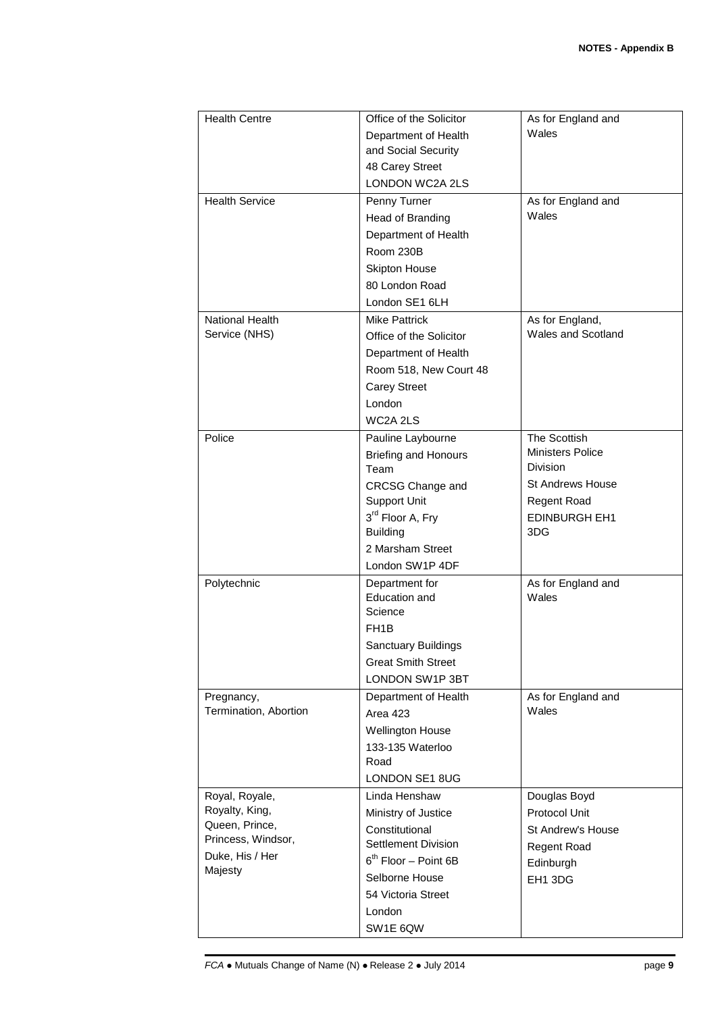| <b>Health Centre</b>                                                                                   | Office of the Solicitor<br>Department of Health<br>and Social Security<br>48 Carey Street<br><b>LONDON WC2A 2LS</b>                                                                                  | As for England and<br>Wales                                                                                                         |
|--------------------------------------------------------------------------------------------------------|------------------------------------------------------------------------------------------------------------------------------------------------------------------------------------------------------|-------------------------------------------------------------------------------------------------------------------------------------|
| <b>Health Service</b>                                                                                  | Penny Turner<br>Head of Branding<br>Department of Health<br>Room 230B<br><b>Skipton House</b><br>80 London Road<br>London SE1 6LH                                                                    | As for England and<br>Wales                                                                                                         |
| National Health<br>Service (NHS)                                                                       | <b>Mike Pattrick</b><br>Office of the Solicitor<br>Department of Health<br>Room 518, New Court 48<br><b>Carey Street</b><br>London<br>WC2A 2LS                                                       | As for England,<br>Wales and Scotland                                                                                               |
| Police                                                                                                 | Pauline Laybourne<br><b>Briefing and Honours</b><br>Team<br><b>CRCSG Change and</b><br><b>Support Unit</b><br>3 <sup>rd</sup> Floor A, Fry<br><b>Building</b><br>2 Marsham Street<br>London SW1P 4DF | The Scottish<br>Ministers Police<br><b>Division</b><br><b>St Andrews House</b><br><b>Regent Road</b><br><b>EDINBURGH EH1</b><br>3DG |
| Polytechnic                                                                                            | Department for<br>Education and<br>Science<br>FH <sub>1</sub> B<br>Sanctuary Buildings<br><b>Great Smith Street</b><br>LONDON SW1P 3BT                                                               | As for England and<br>Wales                                                                                                         |
| Pregnancy,<br>Termination, Abortion                                                                    | Department of Health<br><b>Area 423</b><br><b>Wellington House</b><br>133-135 Waterloo<br>Road<br>LONDON SE1 8UG                                                                                     | As for England and<br>Wales                                                                                                         |
| Royal, Royale,<br>Royalty, King,<br>Queen, Prince,<br>Princess, Windsor,<br>Duke, His / Her<br>Majesty | Linda Henshaw<br>Ministry of Justice<br>Constitutional<br>Settlement Division<br>$6th$ Floor - Point 6B<br>Selborne House<br>54 Victoria Street<br>London<br>SW1E 6QW                                | Douglas Boyd<br>Protocol Unit<br><b>St Andrew's House</b><br><b>Regent Road</b><br>Edinburgh<br>EH1 3DG                             |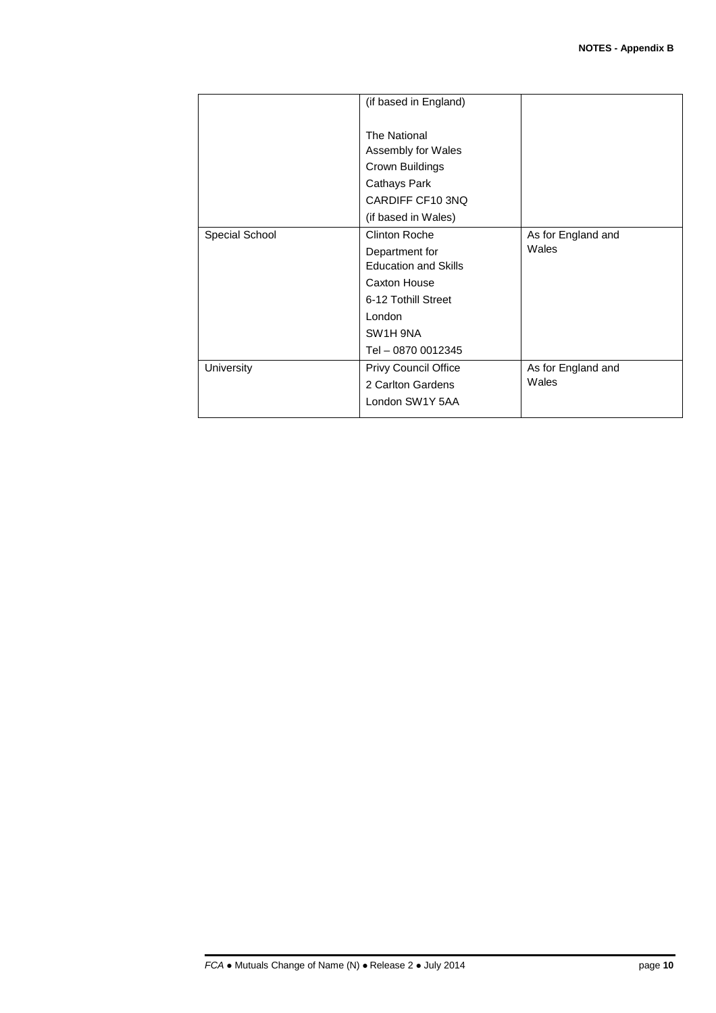|                | (if based in England)                                                                                            |                             |
|----------------|------------------------------------------------------------------------------------------------------------------|-----------------------------|
|                | The National<br>Assembly for Wales<br>Crown Buildings<br>Cathays Park<br>CARDIFF CF10 3NQ<br>(if based in Wales) |                             |
| Special School | Clinton Roche<br>Department for<br><b>Education and Skills</b>                                                   | As for England and<br>Wales |
|                | Caxton House<br>6-12 Tothill Street                                                                              |                             |
|                | London<br>SW1H 9NA<br>Tel - 0870 0012345                                                                         |                             |
| University     | Privy Council Office<br>2 Carlton Gardens<br>London SW1Y 5AA                                                     | As for England and<br>Wales |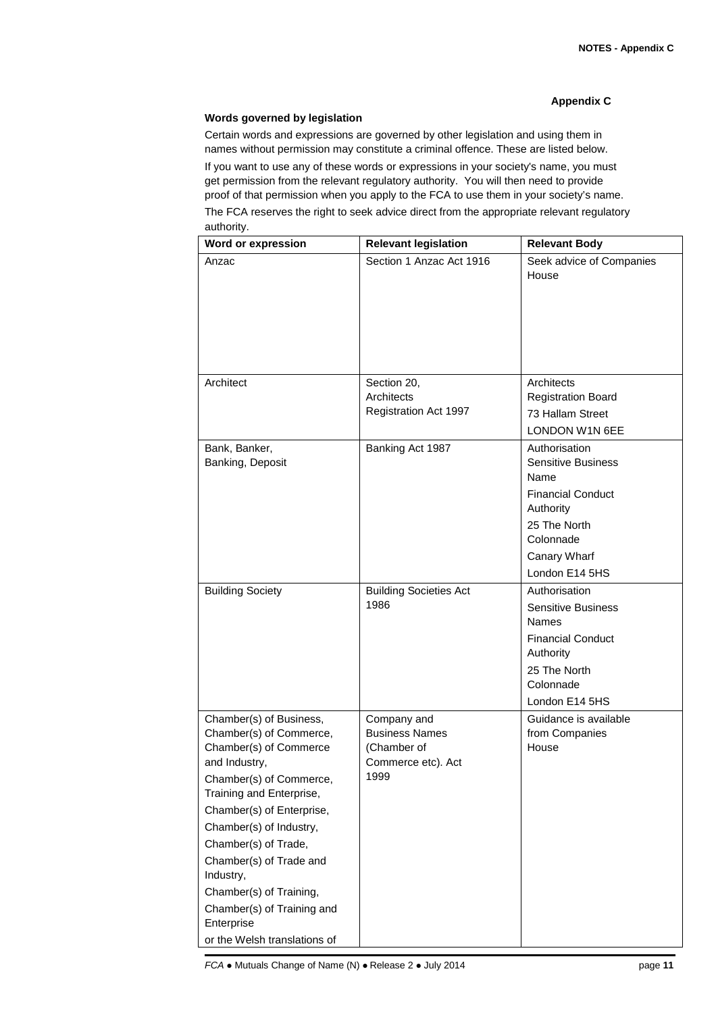## **Appendix C**

### **Words governed by legislation**

Certain words and expressions are governed by other legislation and using them in names without permission may constitute a criminal offence. These are listed below. If you want to use any of these words or expressions in your society's name, you must get permission from the relevant regulatory authority. You will then need to provide proof of that permission when you apply to the FCA to use them in your society's name. The FCA reserves the right to seek advice direct from the appropriate relevant regulatory authority.

| Word or expression                                                                                                                                                                                                                                                                                                                                                                  | <b>Relevant legislation</b>                                                       | <b>Relevant Body</b>                                                                                                                                       |
|-------------------------------------------------------------------------------------------------------------------------------------------------------------------------------------------------------------------------------------------------------------------------------------------------------------------------------------------------------------------------------------|-----------------------------------------------------------------------------------|------------------------------------------------------------------------------------------------------------------------------------------------------------|
| Anzac                                                                                                                                                                                                                                                                                                                                                                               | Section 1 Anzac Act 1916                                                          | Seek advice of Companies<br>House                                                                                                                          |
|                                                                                                                                                                                                                                                                                                                                                                                     |                                                                                   |                                                                                                                                                            |
| Architect                                                                                                                                                                                                                                                                                                                                                                           | Section 20,<br>Architects<br>Registration Act 1997                                | Architects<br><b>Registration Board</b><br>73 Hallam Street<br>LONDON W1N 6EE                                                                              |
| Bank, Banker,<br>Banking, Deposit                                                                                                                                                                                                                                                                                                                                                   | Banking Act 1987                                                                  | Authorisation<br><b>Sensitive Business</b><br>Name<br><b>Financial Conduct</b><br>Authority<br>25 The North<br>Colonnade<br>Canary Wharf<br>London E14 5HS |
| <b>Building Society</b>                                                                                                                                                                                                                                                                                                                                                             | <b>Building Societies Act</b><br>1986                                             | Authorisation<br><b>Sensitive Business</b><br>Names<br><b>Financial Conduct</b><br>Authority<br>25 The North<br>Colonnade<br>London E14 5HS                |
| Chamber(s) of Business,<br>Chamber(s) of Commerce,<br>Chamber(s) of Commerce<br>and Industry,<br>Chamber(s) of Commerce,<br>Training and Enterprise,<br>Chamber(s) of Enterprise,<br>Chamber(s) of Industry,<br>Chamber(s) of Trade,<br>Chamber(s) of Trade and<br>Industry,<br>Chamber(s) of Training,<br>Chamber(s) of Training and<br>Enterprise<br>or the Welsh translations of | Company and<br><b>Business Names</b><br>(Chamber of<br>Commerce etc). Act<br>1999 | Guidance is available<br>from Companies<br>House                                                                                                           |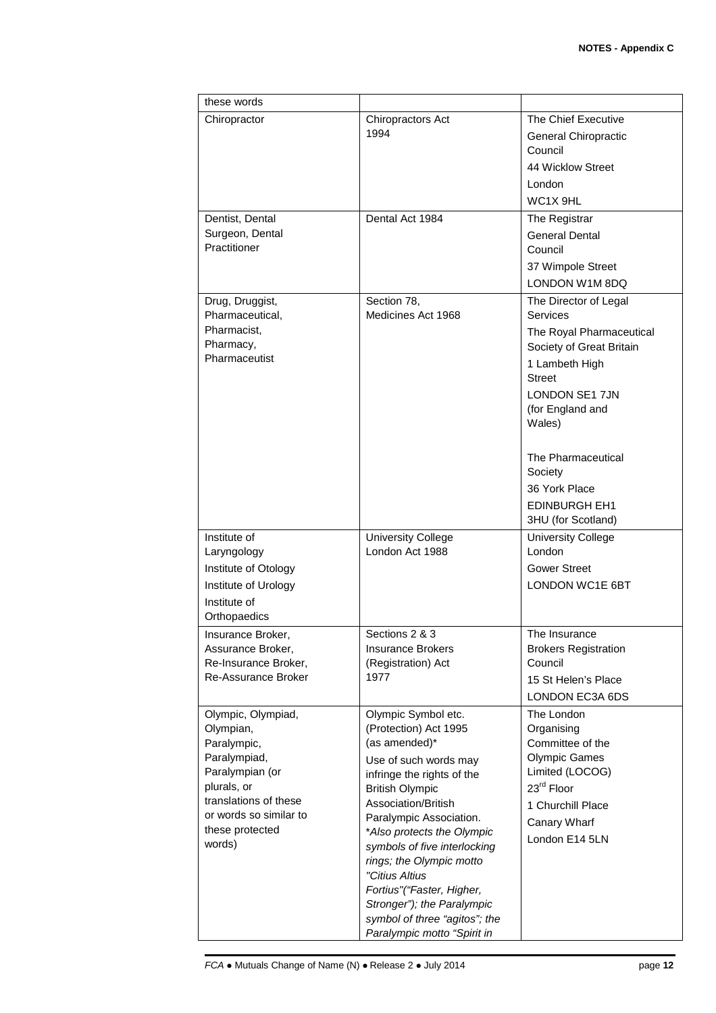| these words                          |                                                |                             |
|--------------------------------------|------------------------------------------------|-----------------------------|
| Chiropractor                         | Chiropractors Act                              | The Chief Executive         |
|                                      | 1994                                           | General Chiropractic        |
|                                      |                                                | Council                     |
|                                      |                                                | 44 Wicklow Street           |
|                                      |                                                | London                      |
|                                      |                                                | WC <sub>1X</sub> 9HL        |
| Dentist, Dental                      | Dental Act 1984                                | The Registrar               |
| Surgeon, Dental                      |                                                | <b>General Dental</b>       |
| Practitioner                         |                                                | Council                     |
|                                      |                                                | 37 Wimpole Street           |
|                                      |                                                | LONDON W1M 8DQ              |
| Drug, Druggist,                      | Section 78,                                    | The Director of Legal       |
| Pharmaceutical,                      | Medicines Act 1968                             | Services                    |
| Pharmacist,                          |                                                | The Royal Pharmaceutical    |
| Pharmacy,                            |                                                | Society of Great Britain    |
| Pharmaceutist                        |                                                | 1 Lambeth High              |
|                                      |                                                | <b>Street</b>               |
|                                      |                                                | LONDON SE1 7JN              |
|                                      |                                                | (for England and            |
|                                      |                                                | Wales)                      |
|                                      |                                                |                             |
|                                      |                                                | The Pharmaceutical          |
|                                      |                                                | Society                     |
|                                      |                                                | 36 York Place               |
|                                      |                                                | <b>EDINBURGH EH1</b>        |
|                                      |                                                | 3HU (for Scotland)          |
| Institute of                         | <b>University College</b>                      | <b>University College</b>   |
| Laryngology                          | London Act 1988                                | London                      |
| Institute of Otology                 |                                                | <b>Gower Street</b>         |
| Institute of Urology                 |                                                | <b>LONDON WC1E 6BT</b>      |
| Institute of                         |                                                |                             |
| Orthopaedics                         |                                                |                             |
| Insurance Broker,                    | Sections 2 & 3                                 | The Insurance               |
| Assurance Broker,                    | <b>Insurance Brokers</b>                       | <b>Brokers Registration</b> |
| Re-Insurance Broker,                 | (Registration) Act                             | Council                     |
| <b>Re-Assurance Broker</b>           | 1977                                           | 15 St Helen's Place         |
|                                      |                                                | LONDON EC3A 6DS             |
| Olympic, Olympiad,                   | Olympic Symbol etc.                            | The London                  |
| Olympian,                            | (Protection) Act 1995                          | Organising                  |
| Paralympic,                          | (as amended)*                                  | Committee of the            |
| Paralympiad,                         | Use of such words may                          | <b>Olympic Games</b>        |
| Paralympian (or                      | infringe the rights of the                     | Limited (LOCOG)             |
| plurals, or<br>translations of these | <b>British Olympic</b>                         | 23 <sup>rd</sup> Floor      |
| or words so similar to               | Association/British<br>Paralympic Association. | 1 Churchill Place           |
| these protected                      | *Also protects the Olympic                     | Canary Wharf                |
| words)                               | symbols of five interlocking                   | London E14 5LN              |
|                                      | rings; the Olympic motto                       |                             |
|                                      | "Citius Altius                                 |                             |
|                                      | Fortius"("Faster, Higher,                      |                             |
|                                      | Stronger"); the Paralympic                     |                             |
|                                      | symbol of three "agitos"; the                  |                             |
|                                      | Paralympic motto "Spirit in                    |                             |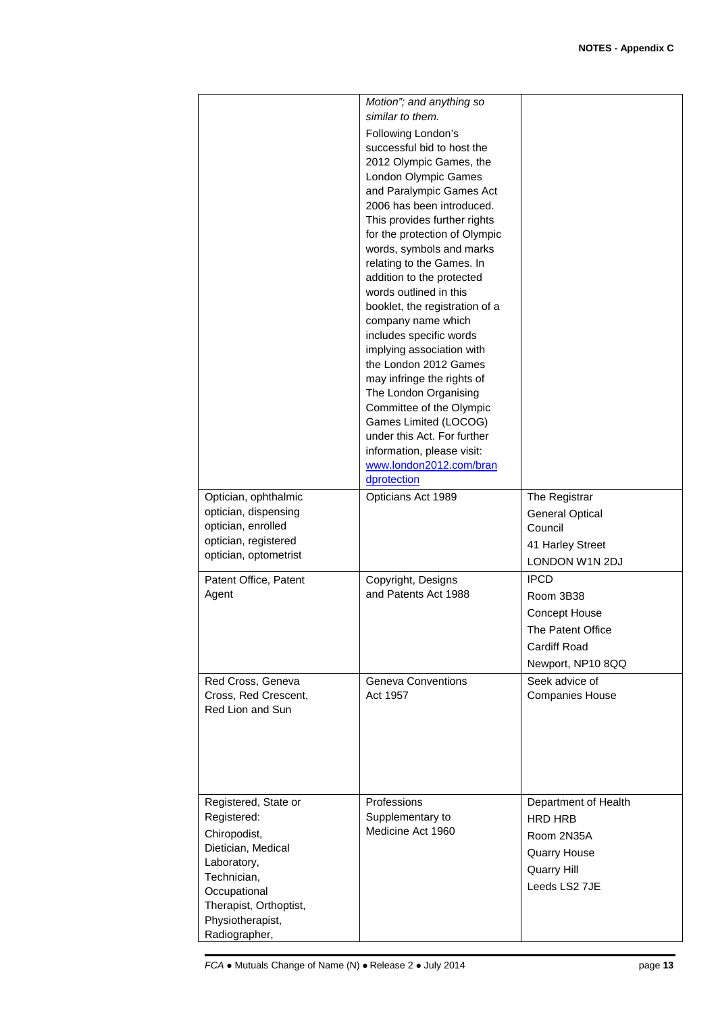| Optician, ophthalmic<br>optician, dispensing<br>optician, enrolled<br>optician, registered<br>optician, optometrist                                                                    | Motion"; and anything so<br>similar to them.<br>Following London's<br>successful bid to host the<br>2012 Olympic Games, the<br>London Olympic Games<br>and Paralympic Games Act<br>2006 has been introduced.<br>This provides further rights<br>for the protection of Olympic<br>words, symbols and marks<br>relating to the Games. In<br>addition to the protected<br>words outlined in this<br>booklet, the registration of a<br>company name which<br>includes specific words<br>implying association with<br>the London 2012 Games<br>may infringe the rights of<br>The London Organising<br>Committee of the Olympic<br>Games Limited (LOCOG)<br>under this Act. For further<br>information, please visit:<br>www.london2012.com/bran<br>dprotection<br>Opticians Act 1989 | The Registrar<br><b>General Optical</b><br>Council<br>41 Harley Street                                                       |
|----------------------------------------------------------------------------------------------------------------------------------------------------------------------------------------|---------------------------------------------------------------------------------------------------------------------------------------------------------------------------------------------------------------------------------------------------------------------------------------------------------------------------------------------------------------------------------------------------------------------------------------------------------------------------------------------------------------------------------------------------------------------------------------------------------------------------------------------------------------------------------------------------------------------------------------------------------------------------------|------------------------------------------------------------------------------------------------------------------------------|
| Patent Office, Patent<br>Agent                                                                                                                                                         | Copyright, Designs<br>and Patents Act 1988                                                                                                                                                                                                                                                                                                                                                                                                                                                                                                                                                                                                                                                                                                                                      | LONDON W1N 2DJ<br><b>IPCD</b><br>Room 3B38<br>Concept House<br>The Patent Office<br><b>Cardiff Road</b><br>Newport, NP10 8QQ |
| Red Cross, Geneva<br>Cross, Red Crescent,<br>Red Lion and Sun                                                                                                                          | Geneva Conventions<br>Act 1957                                                                                                                                                                                                                                                                                                                                                                                                                                                                                                                                                                                                                                                                                                                                                  | Seek advice of<br><b>Companies House</b>                                                                                     |
| Registered, State or<br>Registered:<br>Chiropodist,<br>Dietician, Medical<br>Laboratory,<br>Technician,<br>Occupational<br>Therapist, Orthoptist,<br>Physiotherapist,<br>Radiographer, | Professions<br>Supplementary to<br>Medicine Act 1960                                                                                                                                                                                                                                                                                                                                                                                                                                                                                                                                                                                                                                                                                                                            | Department of Health<br><b>HRD HRB</b><br>Room 2N35A<br><b>Quarry House</b><br>Quarry Hill<br>Leeds LS2 7JE                  |